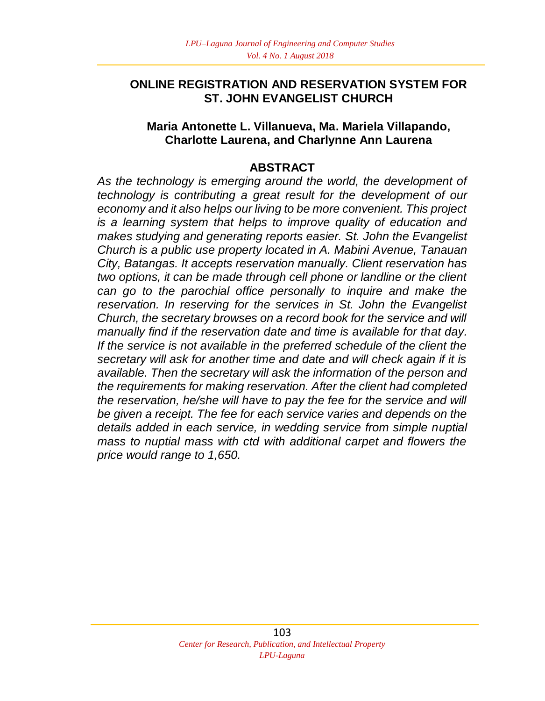## **ONLINE REGISTRATION AND RESERVATION SYSTEM FOR ST. JOHN EVANGELIST CHURCH**

#### **Maria Antonette L. Villanueva, Ma. Mariela Villapando, Charlotte Laurena, and Charlynne Ann Laurena**

### **ABSTRACT**

*As the technology is emerging around the world, the development of technology is contributing a great result for the development of our economy and it also helps our living to be more convenient. This project is a learning system that helps to improve quality of education and makes studying and generating reports easier. St. John the Evangelist Church is a public use property located in A. Mabini Avenue, Tanauan City, Batangas. It accepts reservation manually. Client reservation has two options, it can be made through cell phone or landline or the client can go to the parochial office personally to inquire and make the reservation. In reserving for the services in St. John the Evangelist Church, the secretary browses on a record book for the service and will manually find if the reservation date and time is available for that day. If the service is not available in the preferred schedule of the client the secretary will ask for another time and date and will check again if it is available. Then the secretary will ask the information of the person and the requirements for making reservation. After the client had completed the reservation, he/she will have to pay the fee for the service and will be given a receipt. The fee for each service varies and depends on the details added in each service, in wedding service from simple nuptial mass to nuptial mass with ctd with additional carpet and flowers the price would range to 1,650.*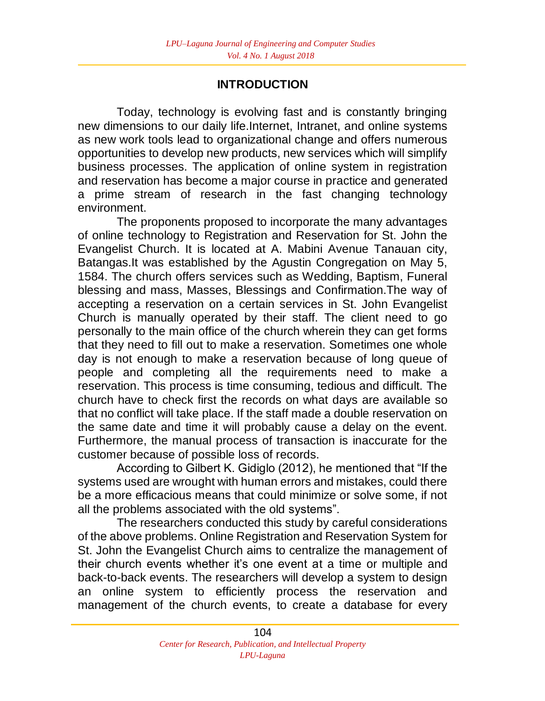# **INTRODUCTION**

Today, technology is evolving fast and is constantly bringing new dimensions to our daily life.Internet, Intranet, and online systems as new work tools lead to organizational change and offers numerous opportunities to develop new products, new services which will simplify business processes. The application of online system in registration and reservation has become a major course in practice and generated a prime stream of research in the fast changing technology environment.

The proponents proposed to incorporate the many advantages of online technology to Registration and Reservation for St. John the Evangelist Church. It is located at A. Mabini Avenue Tanauan city, Batangas.It was established by the Agustin Congregation on May 5, 1584. The church offers services such as Wedding, Baptism, Funeral blessing and mass, Masses, Blessings and Confirmation.The way of accepting a reservation on a certain services in St. John Evangelist Church is manually operated by their staff. The client need to go personally to the main office of the church wherein they can get forms that they need to fill out to make a reservation. Sometimes one whole day is not enough to make a reservation because of long queue of people and completing all the requirements need to make a reservation. This process is time consuming, tedious and difficult. The church have to check first the records on what days are available so that no conflict will take place. If the staff made a double reservation on the same date and time it will probably cause a delay on the event. Furthermore, the manual process of transaction is inaccurate for the customer because of possible loss of records.

According to Gilbert K. Gidiglo (2012), he mentioned that "If the systems used are wrought with human errors and mistakes, could there be a more efficacious means that could minimize or solve some, if not all the problems associated with the old systems".

The researchers conducted this study by careful considerations of the above problems. Online Registration and Reservation System for St. John the Evangelist Church aims to centralize the management of their church events whether it's one event at a time or multiple and back-to-back events. The researchers will develop a system to design an online system to efficiently process the reservation and management of the church events, to create a database for every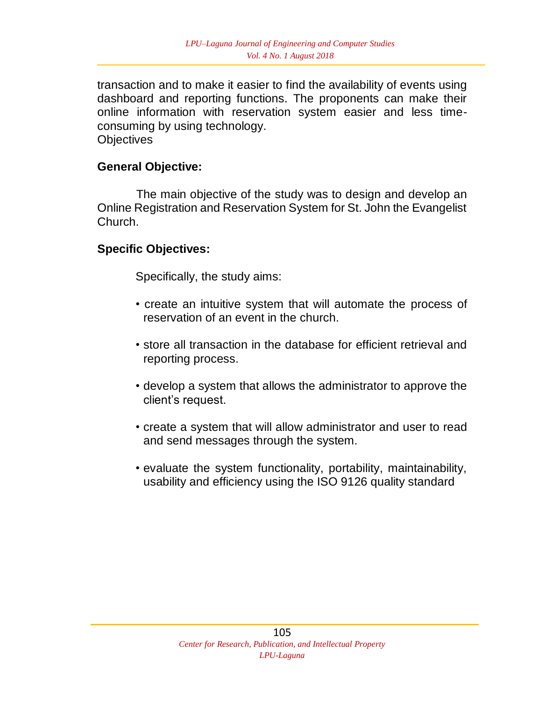transaction and to make it easier to find the availability of events using dashboard and reporting functions. The proponents can make their online information with reservation system easier and less timeconsuming by using technology. **Objectives** 

#### **General Objective:**

The main objective of the study was to design and develop an Online Registration and Reservation System for St. John the Evangelist Church.

#### **Specific Objectives:**

Specifically, the study aims:

- create an intuitive system that will automate the process of reservation of an event in the church.
- store all transaction in the database for efficient retrieval and reporting process.
- develop a system that allows the administrator to approve the client's request.
- create a system that will allow administrator and user to read and send messages through the system.
- evaluate the system functionality, portability, maintainability, usability and efficiency using the ISO 9126 quality standard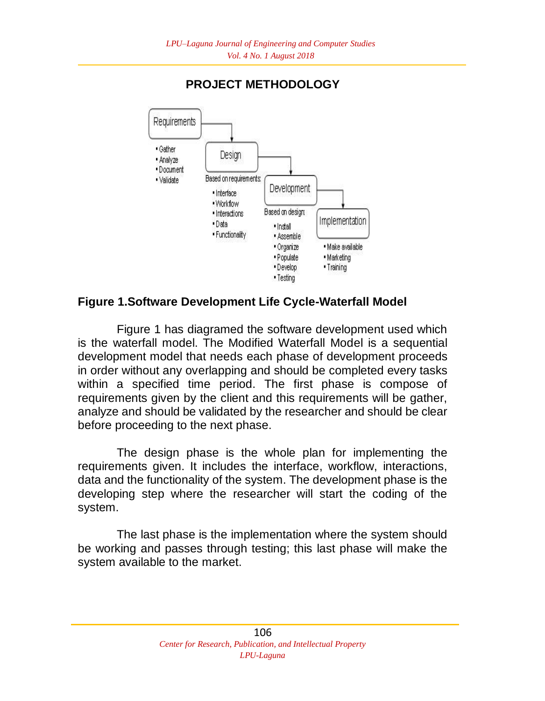

# **PROJECT METHODOLOGY**

### **Figure 1.Software Development Life Cycle-Waterfall Model**

Figure 1 has diagramed the software development used which is the waterfall model. The Modified Waterfall Model is a sequential development model that needs each phase of development proceeds in order without any overlapping and should be completed every tasks within a specified time period. The first phase is compose of requirements given by the client and this requirements will be gather, analyze and should be validated by the researcher and should be clear before proceeding to the next phase.

The design phase is the whole plan for implementing the requirements given. It includes the interface, workflow, interactions, data and the functionality of the system. The development phase is the developing step where the researcher will start the coding of the system.

The last phase is the implementation where the system should be working and passes through testing; this last phase will make the system available to the market.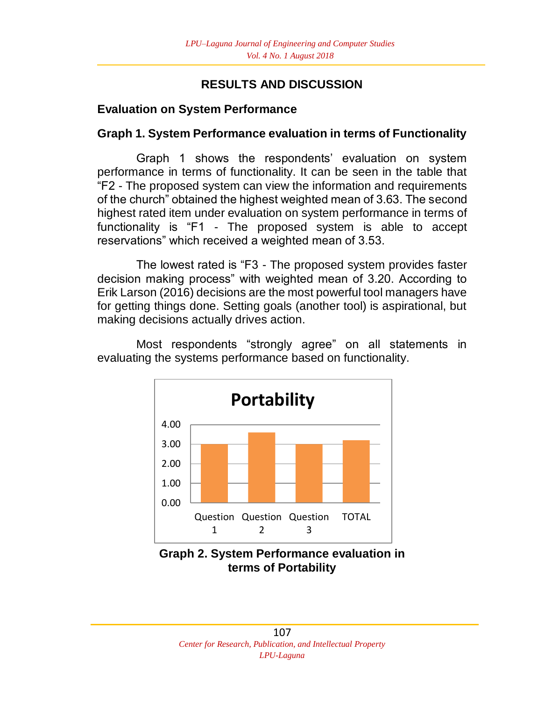# **RESULTS AND DISCUSSION**

## **Evaluation on System Performance**

## **Graph 1. System Performance evaluation in terms of Functionality**

Graph 1 shows the respondents' evaluation on system performance in terms of functionality. It can be seen in the table that "F2 - The proposed system can view the information and requirements of the church" obtained the highest weighted mean of 3.63. The second highest rated item under evaluation on system performance in terms of functionality is "F1 - The proposed system is able to accept reservations" which received a weighted mean of 3.53.

The lowest rated is "F3 - The proposed system provides faster decision making process" with weighted mean of 3.20. According to Erik Larson (2016) decisions are the most powerful tool managers have for getting things done. Setting goals (another tool) is aspirational, but making decisions actually drives action.

> 0.00 1.00 2.00 3.00 4.00 Question Question Question 1 2 3 TOTAL **Portability**

Most respondents "strongly agree" on all statements in evaluating the systems performance based on functionality.

**Graph 2. System Performance evaluation in terms of Portability**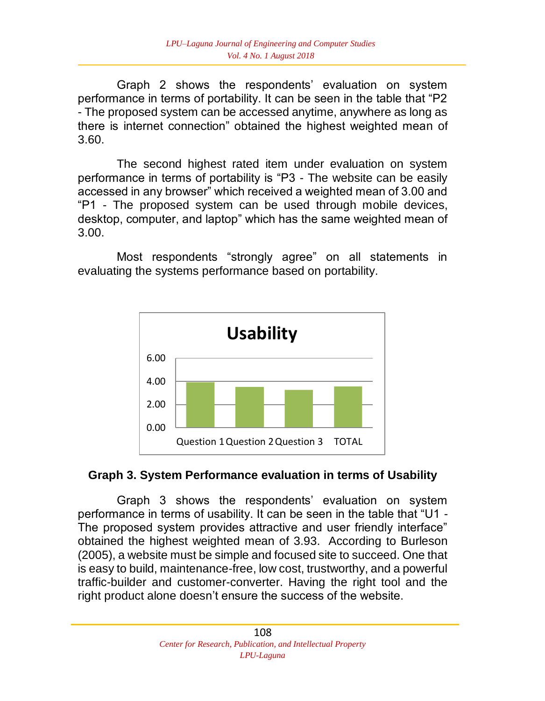Graph 2 shows the respondents' evaluation on system performance in terms of portability. It can be seen in the table that "P2 - The proposed system can be accessed anytime, anywhere as long as there is internet connection" obtained the highest weighted mean of 3.60.

The second highest rated item under evaluation on system performance in terms of portability is "P3 - The website can be easily accessed in any browser" which received a weighted mean of 3.00 and "P1 - The proposed system can be used through mobile devices, desktop, computer, and laptop" which has the same weighted mean of 3.00.

Most respondents "strongly agree" on all statements in evaluating the systems performance based on portability.



### **Graph 3. System Performance evaluation in terms of Usability**

Graph 3 shows the respondents' evaluation on system performance in terms of usability. It can be seen in the table that "U1 - The proposed system provides attractive and user friendly interface" obtained the highest weighted mean of 3.93. According to Burleson (2005), a website must be simple and focused site to succeed. One that is easy to build, maintenance-free, low cost, trustworthy, and a powerful traffic-builder and customer-converter. Having the right tool and the right product alone doesn't ensure the success of the website.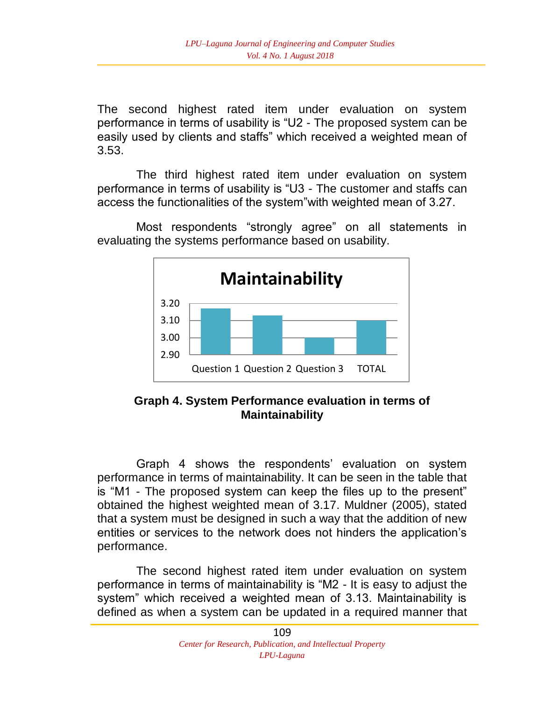The second highest rated item under evaluation on system performance in terms of usability is "U2 - The proposed system can be easily used by clients and staffs" which received a weighted mean of 3.53.

The third highest rated item under evaluation on system performance in terms of usability is "U3 - The customer and staffs can access the functionalities of the system"with weighted mean of 3.27.

Most respondents "strongly agree" on all statements in evaluating the systems performance based on usability.



# **Graph 4. System Performance evaluation in terms of Maintainability**

Graph 4 shows the respondents' evaluation on system performance in terms of maintainability. It can be seen in the table that is "M1 - The proposed system can keep the files up to the present" obtained the highest weighted mean of 3.17. Muldner (2005), stated that a system must be designed in such a way that the addition of new entities or services to the network does not hinders the application's performance.

The second highest rated item under evaluation on system performance in terms of maintainability is "M2 - It is easy to adjust the system" which received a weighted mean of 3.13. Maintainability is defined as when a system can be updated in a required manner that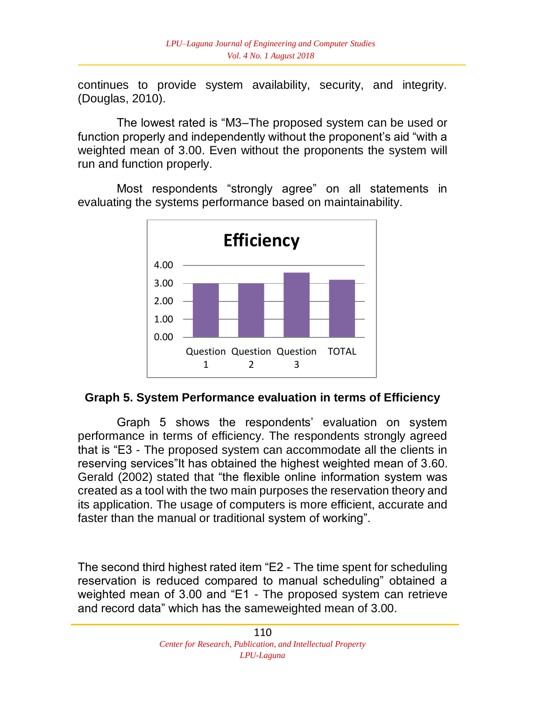continues to provide system availability, security, and integrity. (Douglas, 2010).

The lowest rated is "M3–The proposed system can be used or function properly and independently without the proponent's aid "with a weighted mean of 3.00. Even without the proponents the system will run and function properly.

Most respondents "strongly agree" on all statements in evaluating the systems performance based on maintainability.



### **Graph 5. System Performance evaluation in terms of Efficiency**

Graph 5 shows the respondents' evaluation on system performance in terms of efficiency. The respondents strongly agreed that is "E3 - The proposed system can accommodate all the clients in reserving services"It has obtained the highest weighted mean of 3.60. Gerald (2002) stated that "the flexible online information system was created as a tool with the two main purposes the reservation theory and its application. The usage of computers is more efficient, accurate and faster than the manual or traditional system of working".

The second third highest rated item "E2 - The time spent for scheduling reservation is reduced compared to manual scheduling" obtained a weighted mean of 3.00 and "E1 - The proposed system can retrieve and record data" which has the sameweighted mean of 3.00.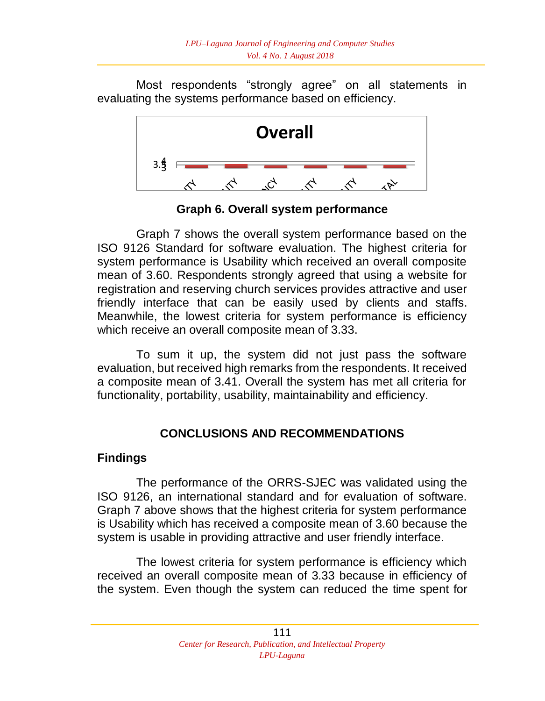Most respondents "strongly agree" on all statements in evaluating the systems performance based on efficiency.



**Graph 6. Overall system performance**

Graph 7 shows the overall system performance based on the ISO 9126 Standard for software evaluation. The highest criteria for system performance is Usability which received an overall composite mean of 3.60. Respondents strongly agreed that using a website for registration and reserving church services provides attractive and user friendly interface that can be easily used by clients and staffs. Meanwhile, the lowest criteria for system performance is efficiency which receive an overall composite mean of 3.33.

To sum it up, the system did not just pass the software evaluation, but received high remarks from the respondents. It received a composite mean of 3.41. Overall the system has met all criteria for functionality, portability, usability, maintainability and efficiency.

# **CONCLUSIONS AND RECOMMENDATIONS**

### **Findings**

The performance of the ORRS-SJEC was validated using the ISO 9126, an international standard and for evaluation of software. Graph 7 above shows that the highest criteria for system performance is Usability which has received a composite mean of 3.60 because the system is usable in providing attractive and user friendly interface.

The lowest criteria for system performance is efficiency which received an overall composite mean of 3.33 because in efficiency of the system. Even though the system can reduced the time spent for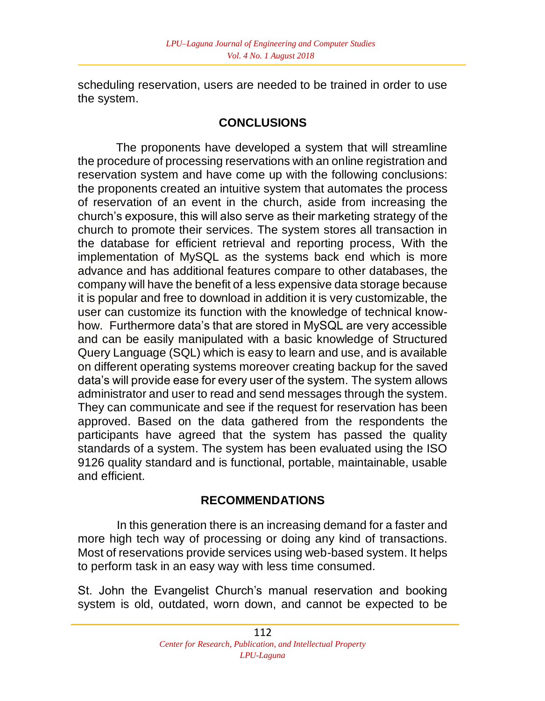scheduling reservation, users are needed to be trained in order to use the system.

# **CONCLUSIONS**

The proponents have developed a system that will streamline the procedure of processing reservations with an online registration and reservation system and have come up with the following conclusions: the proponents created an intuitive system that automates the process of reservation of an event in the church, aside from increasing the church's exposure, this will also serve as their marketing strategy of the church to promote their services. The system stores all transaction in the database for efficient retrieval and reporting process, With the implementation of MySQL as the systems back end which is more advance and has additional features compare to other databases, the company will have the benefit of a less expensive data storage because it is popular and free to download in addition it is very customizable, the user can customize its function with the knowledge of technical knowhow. Furthermore data's that are stored in MySQL are very accessible and can be easily manipulated with a basic knowledge of Structured Query Language (SQL) which is easy to learn and use, and is available on different operating systems moreover creating backup for the saved data's will provide ease for every user of the system. The system allows administrator and user to read and send messages through the system. They can communicate and see if the request for reservation has been approved. Based on the data gathered from the respondents the participants have agreed that the system has passed the quality standards of a system. The system has been evaluated using the ISO 9126 quality standard and is functional, portable, maintainable, usable and efficient.

# **RECOMMENDATIONS**

In this generation there is an increasing demand for a faster and more high tech way of processing or doing any kind of transactions. Most of reservations provide services using web-based system. It helps to perform task in an easy way with less time consumed.

St. John the Evangelist Church's manual reservation and booking system is old, outdated, worn down, and cannot be expected to be